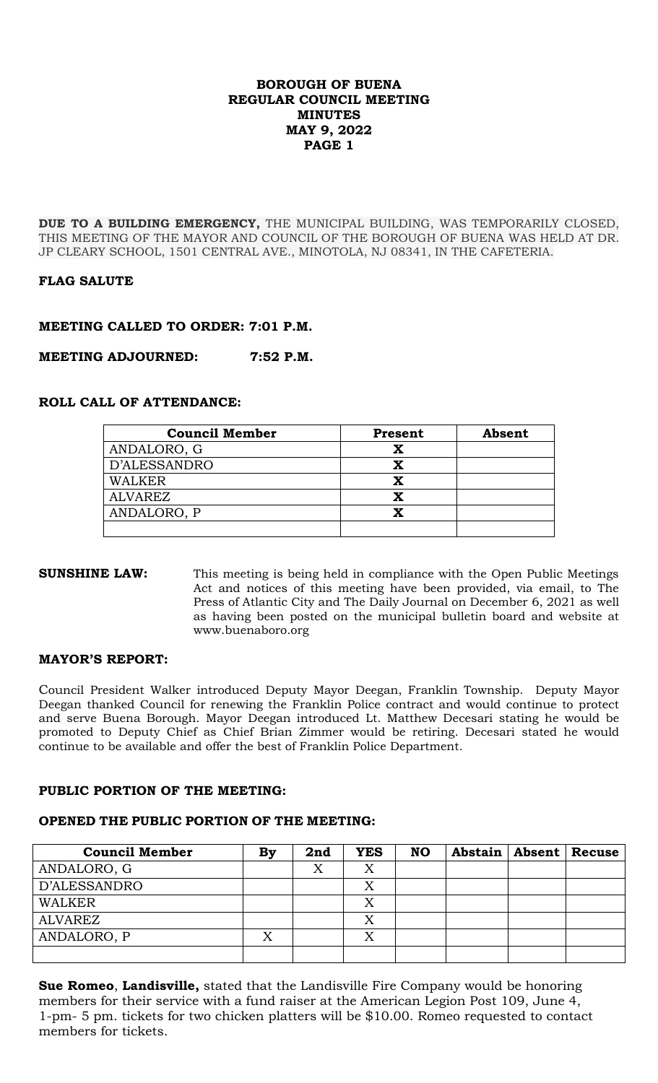**DUE TO A BUILDING EMERGENCY,** THE MUNICIPAL BUILDING, WAS TEMPORARILY CLOSED, THIS MEETING OF THE MAYOR AND COUNCIL OF THE BOROUGH OF BUENA WAS HELD AT DR. JP CLEARY SCHOOL, 1501 CENTRAL AVE., MINOTOLA, NJ 08341, IN THE CAFETERIA.

# **FLAG SALUTE**

## **MEETING CALLED TO ORDER: 7:01 P.M.**

**MEETING ADJOURNED: 7:52 P.M.**

## **ROLL CALL OF ATTENDANCE:**

| <b>Council Member</b> | <b>Present</b> | Absent |
|-----------------------|----------------|--------|
| ANDALORO, G           |                |        |
| D'ALESSANDRO          |                |        |
| WALKER                |                |        |
| ALVAREZ               |                |        |
| ANDALORO, P           |                |        |
|                       |                |        |

#### **SUNSHINE LAW:** This meeting is being held in compliance with the Open Public Meetings Act and notices of this meeting have been provided, via email, to The Press of Atlantic City and The Daily Journal on December 6, 2021 as well as having been posted on the municipal bulletin board and website at www.buenaboro.org

#### **MAYOR'S REPORT:**

Council President Walker introduced Deputy Mayor Deegan, Franklin Township. Deputy Mayor Deegan thanked Council for renewing the Franklin Police contract and would continue to protect and serve Buena Borough. Mayor Deegan introduced Lt. Matthew Decesari stating he would be promoted to Deputy Chief as Chief Brian Zimmer would be retiring. Decesari stated he would continue to be available and offer the best of Franklin Police Department.

#### **PUBLIC PORTION OF THE MEETING:**

# **OPENED THE PUBLIC PORTION OF THE MEETING:**

| <b>Council Member</b> | By | 2nd | <b>YES</b> | <b>NO</b> |  | Abstain   Absent   Recuse |
|-----------------------|----|-----|------------|-----------|--|---------------------------|
| ANDALORO, G           |    |     | Χ          |           |  |                           |
| D'ALESSANDRO          |    |     | X          |           |  |                           |
| <b>WALKER</b>         |    |     | Χ          |           |  |                           |
| <b>ALVAREZ</b>        |    |     | X          |           |  |                           |
| ANDALORO, P           | X  |     | Χ          |           |  |                           |
|                       |    |     |            |           |  |                           |

**Sue Romeo**, **Landisville,** stated that the Landisville Fire Company would be honoring members for their service with a fund raiser at the American Legion Post 109, June 4, 1-pm- 5 pm. tickets for two chicken platters will be \$10.00. Romeo requested to contact members for tickets.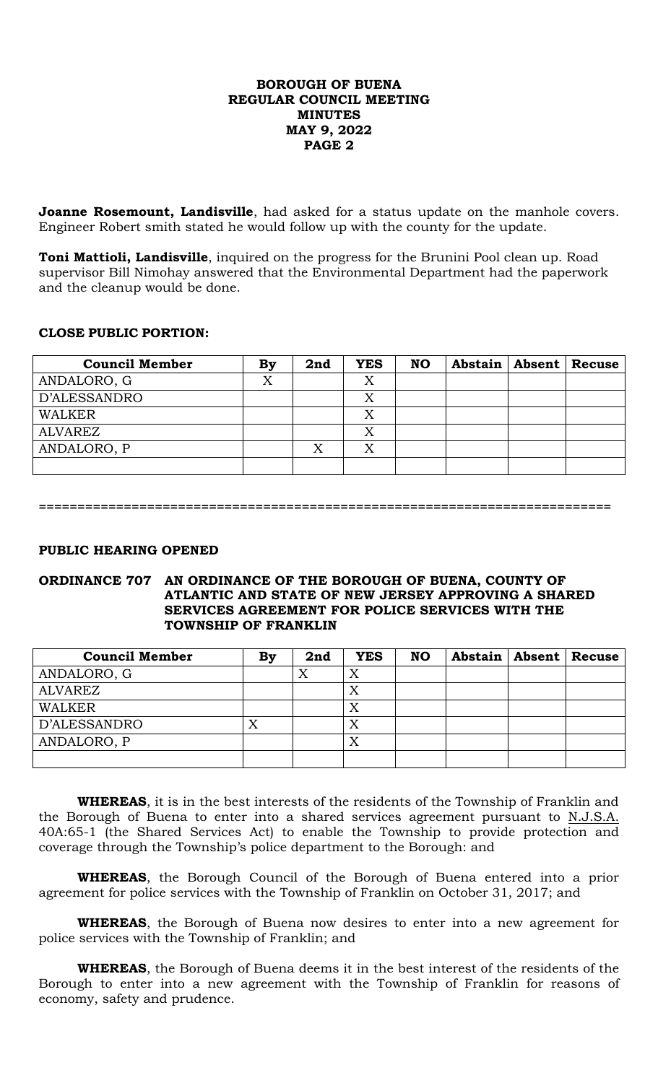**Joanne Rosemount, Landisville**, had asked for a status update on the manhole covers. Engineer Robert smith stated he would follow up with the county for the update.

**Toni Mattioli, Landisville**, inquired on the progress for the Brunini Pool clean up. Road supervisor Bill Nimohay answered that the Environmental Department had the paperwork and the cleanup would be done.

# **CLOSE PUBLIC PORTION:**

| <b>Council Member</b> | By | 2nd | <b>YES</b> | <b>NO</b> | Abstain   Absent   Recuse |  |
|-----------------------|----|-----|------------|-----------|---------------------------|--|
| ANDALORO, G           | X  |     | Χ          |           |                           |  |
| D'ALESSANDRO          |    |     | Χ          |           |                           |  |
| <b>WALKER</b>         |    |     | Χ          |           |                           |  |
| ALVAREZ               |    |     | Χ          |           |                           |  |
| ANDALORO, P           |    | X   | X          |           |                           |  |
|                       |    |     |            |           |                           |  |

**==========================================================================**

## **PUBLIC HEARING OPENED**

#### **ORDINANCE 707 AN ORDINANCE OF THE BOROUGH OF BUENA, COUNTY OF ATLANTIC AND STATE OF NEW JERSEY APPROVING A SHARED SERVICES AGREEMENT FOR POLICE SERVICES WITH THE TOWNSHIP OF FRANKLIN**

| <b>Council Member</b> | By | 2nd | <b>YES</b> | <b>NO</b> | Abstain   Absent   Recuse |  |
|-----------------------|----|-----|------------|-----------|---------------------------|--|
| ANDALORO, G           |    | X   | Х          |           |                           |  |
| <b>ALVAREZ</b>        |    |     | X          |           |                           |  |
| <b>WALKER</b>         |    |     | X          |           |                           |  |
| D'ALESSANDRO          |    |     | Χ          |           |                           |  |
| ANDALORO, P           |    |     | Χ          |           |                           |  |
|                       |    |     |            |           |                           |  |

**WHEREAS**, it is in the best interests of the residents of the Township of Franklin and the Borough of Buena to enter into a shared services agreement pursuant to  $N.J.S.A.$ 40A:65-1 (the Shared Services Act) to enable the Township to provide protection and coverage through the Township's police department to the Borough: and

**WHEREAS**, the Borough Council of the Borough of Buena entered into a prior agreement for police services with the Township of Franklin on October 31, 2017; and

**WHEREAS**, the Borough of Buena now desires to enter into a new agreement for police services with the Township of Franklin; and

**WHEREAS**, the Borough of Buena deems it in the best interest of the residents of the Borough to enter into a new agreement with the Township of Franklin for reasons of economy, safety and prudence.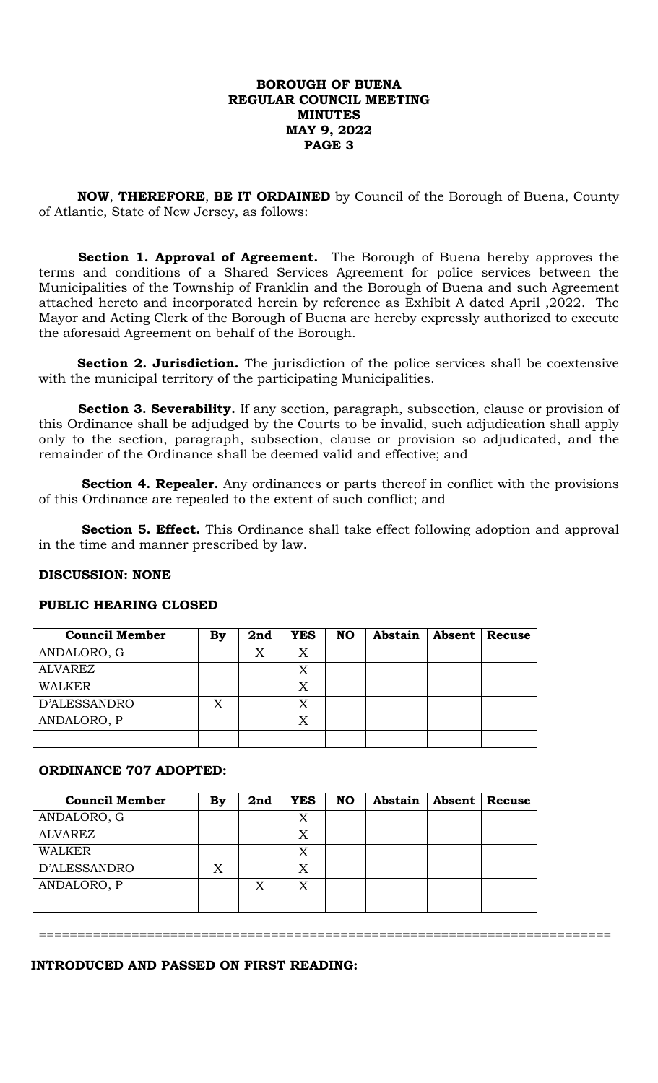**NOW**, **THEREFORE**, **BE IT ORDAINED** by Council of the Borough of Buena, County of Atlantic, State of New Jersey, as follows:

 **Section 1. Approval of Agreement.** The Borough of Buena hereby approves the terms and conditions of a Shared Services Agreement for police services between the Municipalities of the Township of Franklin and the Borough of Buena and such Agreement attached hereto and incorporated herein by reference as Exhibit A dated April ,2022. The Mayor and Acting Clerk of the Borough of Buena are hereby expressly authorized to execute the aforesaid Agreement on behalf of the Borough.

**Section 2. Jurisdiction.** The jurisdiction of the police services shall be coextensive with the municipal territory of the participating Municipalities.

 **Section 3. Severability.** If any section, paragraph, subsection, clause or provision of this Ordinance shall be adjudged by the Courts to be invalid, such adjudication shall apply only to the section, paragraph, subsection, clause or provision so adjudicated, and the remainder of the Ordinance shall be deemed valid and effective; and

**Section 4. Repealer.** Any ordinances or parts thereof in conflict with the provisions of this Ordinance are repealed to the extent of such conflict; and

**Section 5. Effect.** This Ordinance shall take effect following adoption and approval in the time and manner prescribed by law.

## **DISCUSSION: NONE**

| <b>Council Member</b> | By | 2nd | <b>YES</b> | <b>NO</b> | Abstain | Absent | Recuse |
|-----------------------|----|-----|------------|-----------|---------|--------|--------|
| ANDALORO, G           |    | X   | X          |           |         |        |        |
| <b>ALVAREZ</b>        |    |     |            |           |         |        |        |
| <b>WALKER</b>         |    |     | X          |           |         |        |        |
| D'ALESSANDRO          |    |     | Χ          |           |         |        |        |
| ANDALORO, P           |    |     | X          |           |         |        |        |
|                       |    |     |            |           |         |        |        |

## **PUBLIC HEARING CLOSED**

#### **ORDINANCE 707 ADOPTED:**

| <b>Council Member</b> | <b>By</b> | 2nd | <b>YES</b> | <b>NO</b> | Abstain | <b>Absent</b> | <b>Recuse</b> |
|-----------------------|-----------|-----|------------|-----------|---------|---------------|---------------|
| ANDALORO, G           |           |     | X          |           |         |               |               |
| <b>ALVAREZ</b>        |           |     | X          |           |         |               |               |
| <b>WALKER</b>         |           |     | X          |           |         |               |               |
| D'ALESSANDRO          | X         |     | X          |           |         |               |               |
| ANDALORO, P           |           | X   | X          |           |         |               |               |
|                       |           |     |            |           |         |               |               |

**==========================================================================**

#### **INTRODUCED AND PASSED ON FIRST READING:**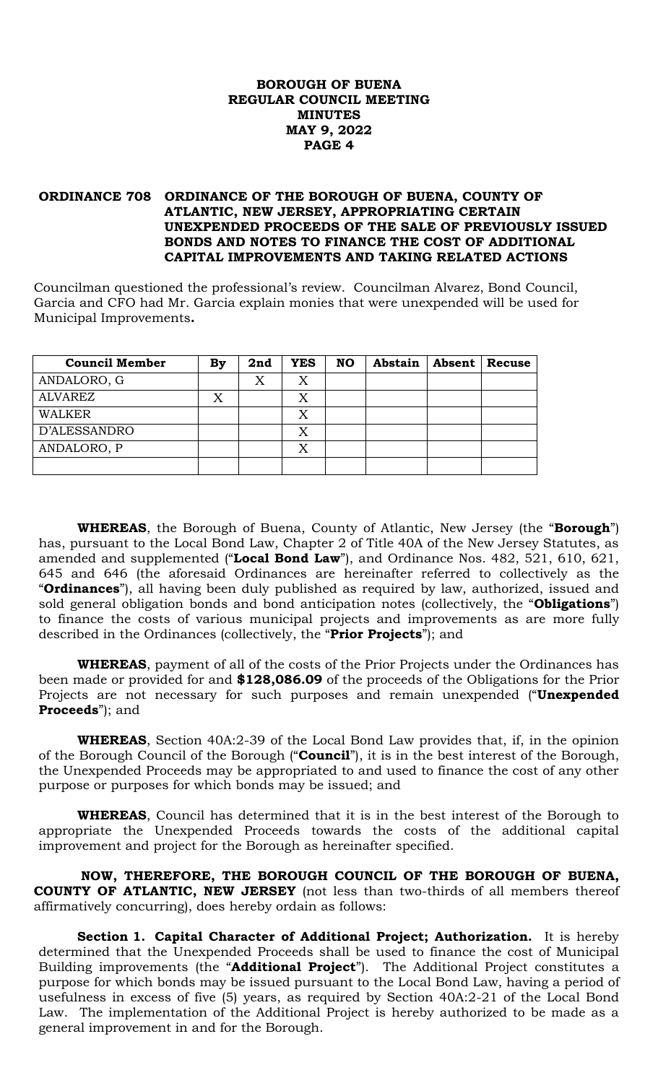## **ORDINANCE 708 ORDINANCE OF THE BOROUGH OF BUENA, COUNTY OF ATLANTIC, NEW JERSEY, APPROPRIATING CERTAIN UNEXPENDED PROCEEDS OF THE SALE OF PREVIOUSLY ISSUED BONDS AND NOTES TO FINANCE THE COST OF ADDITIONAL CAPITAL IMPROVEMENTS AND TAKING RELATED ACTIONS**

Councilman questioned the professional's review. Councilman Alvarez, Bond Council, Garcia and CFO had Mr. Garcia explain monies that were unexpended will be used for Municipal Improvements**.**

| <b>Council Member</b> | <b>By</b> | 2nd | <b>YES</b> | <b>NO</b> | Abstain | Absent | Recuse |
|-----------------------|-----------|-----|------------|-----------|---------|--------|--------|
| ANDALORO, G           |           | X   | Χ          |           |         |        |        |
| <b>ALVAREZ</b>        | X         |     |            |           |         |        |        |
| <b>WALKER</b>         |           |     | X          |           |         |        |        |
| D'ALESSANDRO          |           |     | X          |           |         |        |        |
| ANDALORO, P           |           |     |            |           |         |        |        |
|                       |           |     |            |           |         |        |        |

**WHEREAS**, the Borough of Buena, County of Atlantic, New Jersey (the "**Borough**") has, pursuant to the Local Bond Law, Chapter 2 of Title 40A of the New Jersey Statutes, as amended and supplemented ("**Local Bond Law**"), and Ordinance Nos. 482, 521, 610, 621, 645 and 646 (the aforesaid Ordinances are hereinafter referred to collectively as the "**Ordinances**"), all having been duly published as required by law, authorized, issued and sold general obligation bonds and bond anticipation notes (collectively, the "**Obligations**") to finance the costs of various municipal projects and improvements as are more fully described in the Ordinances (collectively, the "**Prior Projects**"); and

**WHEREAS**, payment of all of the costs of the Prior Projects under the Ordinances has been made or provided for and **\$128,086.09** of the proceeds of the Obligations for the Prior Projects are not necessary for such purposes and remain unexpended ("**Unexpended Proceeds**"); and

**WHEREAS**, Section 40A:2-39 of the Local Bond Law provides that, if, in the opinion of the Borough Council of the Borough ("**Council**"), it is in the best interest of the Borough, the Unexpended Proceeds may be appropriated to and used to finance the cost of any other purpose or purposes for which bonds may be issued; and

**WHEREAS**, Council has determined that it is in the best interest of the Borough to appropriate the Unexpended Proceeds towards the costs of the additional capital improvement and project for the Borough as hereinafter specified.

 **NOW, THEREFORE, THE BOROUGH COUNCIL OF THE BOROUGH OF BUENA, COUNTY OF ATLANTIC, NEW JERSEY** (not less than two-thirds of all members thereof affirmatively concurring), does hereby ordain as follows:

**Section 1. Capital Character of Additional Project; Authorization.** It is hereby determined that the Unexpended Proceeds shall be used to finance the cost of Municipal Building improvements (the "**Additional Project**"). The Additional Project constitutes a purpose for which bonds may be issued pursuant to the Local Bond Law, having a period of usefulness in excess of five (5) years, as required by Section 40A:2-21 of the Local Bond Law. The implementation of the Additional Project is hereby authorized to be made as a general improvement in and for the Borough.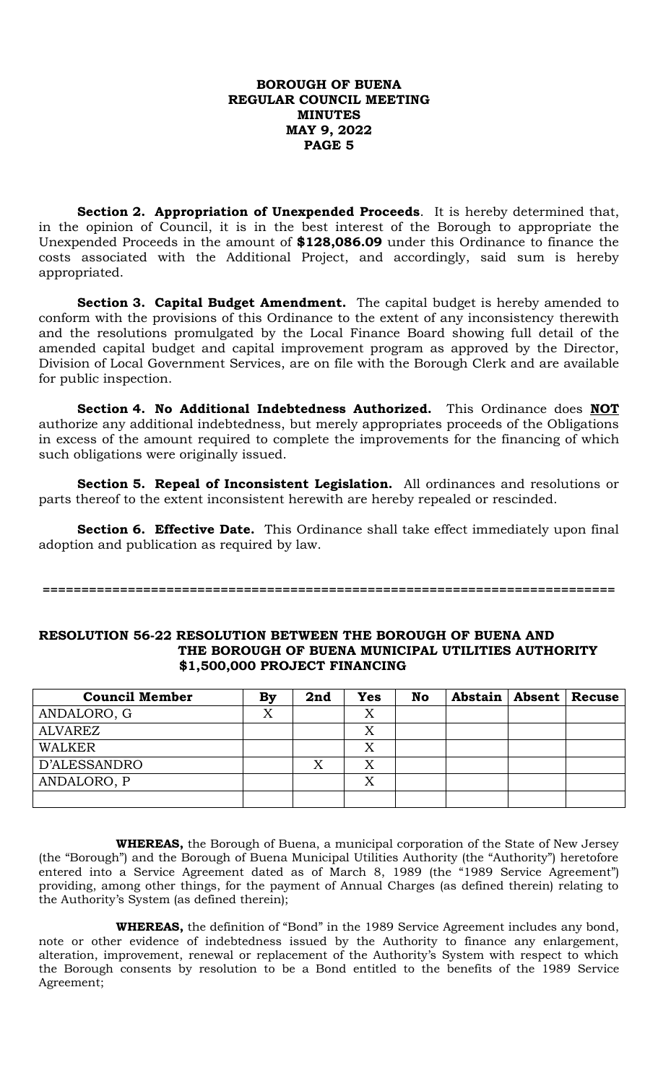**Section 2. Appropriation of Unexpended Proceeds**. It is hereby determined that, in the opinion of Council, it is in the best interest of the Borough to appropriate the Unexpended Proceeds in the amount of **\$128,086.09** under this Ordinance to finance the costs associated with the Additional Project, and accordingly, said sum is hereby appropriated.

**Section 3. Capital Budget Amendment.** The capital budget is hereby amended to conform with the provisions of this Ordinance to the extent of any inconsistency therewith and the resolutions promulgated by the Local Finance Board showing full detail of the amended capital budget and capital improvement program as approved by the Director, Division of Local Government Services, are on file with the Borough Clerk and are available for public inspection.

**Section 4. No Additional Indebtedness Authorized.** This Ordinance does **NOT** authorize any additional indebtedness, but merely appropriates proceeds of the Obligations in excess of the amount required to complete the improvements for the financing of which such obligations were originally issued.

**Section 5. Repeal of Inconsistent Legislation.** All ordinances and resolutions or parts thereof to the extent inconsistent herewith are hereby repealed or rescinded.

**Section 6. Effective Date.** This Ordinance shall take effect immediately upon final adoption and publication as required by law.

**==========================================================================**

#### **RESOLUTION 56-22 RESOLUTION BETWEEN THE BOROUGH OF BUENA AND THE BOROUGH OF BUENA MUNICIPAL UTILITIES AUTHORITY \$1,500,000 PROJECT FINANCING**

| <b>Council Member</b> | By | 2nd | <b>Yes</b> | No |  | Abstain   Absent   Recuse |
|-----------------------|----|-----|------------|----|--|---------------------------|
| ANDALORO, G           | X  |     | Χ          |    |  |                           |
| ALVAREZ               |    |     | Χ          |    |  |                           |
| <b>WALKER</b>         |    |     | Χ          |    |  |                           |
| D'ALESSANDRO          |    | Χ   | Χ          |    |  |                           |
| ANDALORO, P           |    |     | Χ          |    |  |                           |
|                       |    |     |            |    |  |                           |

**WHEREAS,** the Borough of Buena, a municipal corporation of the State of New Jersey (the "Borough") and the Borough of Buena Municipal Utilities Authority (the "Authority") heretofore entered into a Service Agreement dated as of March 8, 1989 (the "1989 Service Agreement") providing, among other things, for the payment of Annual Charges (as defined therein) relating to the Authority's System (as defined therein);

**WHEREAS,** the definition of "Bond" in the 1989 Service Agreement includes any bond, note or other evidence of indebtedness issued by the Authority to finance any enlargement, alteration, improvement, renewal or replacement of the Authority's System with respect to which the Borough consents by resolution to be a Bond entitled to the benefits of the 1989 Service Agreement;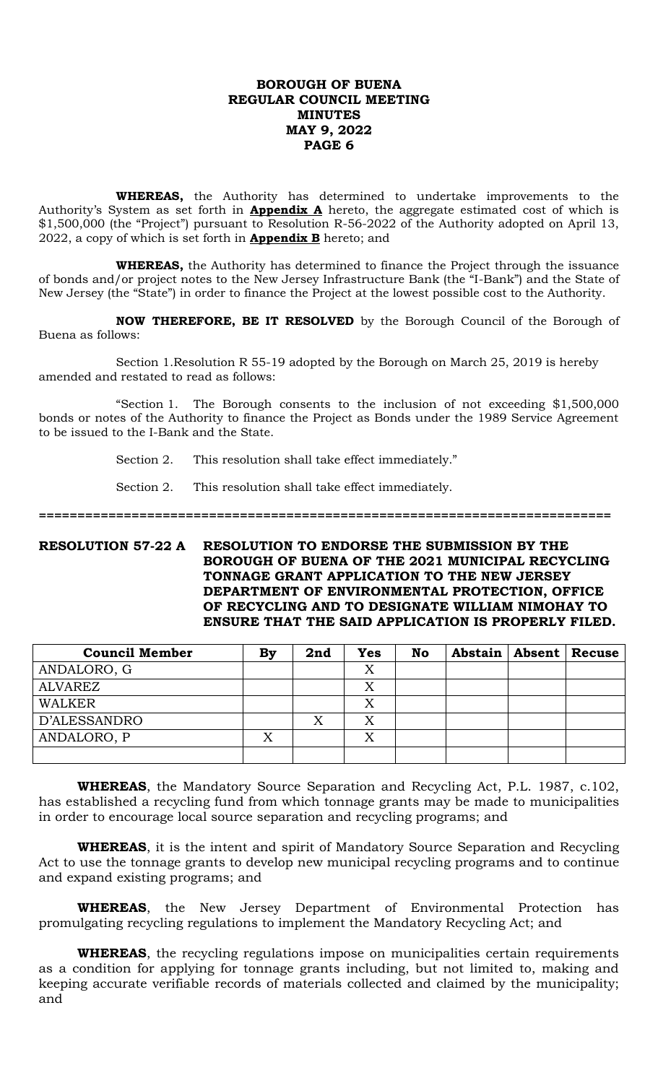**WHEREAS,** the Authority has determined to undertake improvements to the Authority's System as set forth in **Appendix A** hereto, the aggregate estimated cost of which is \$1,500,000 (the "Project") pursuant to Resolution R-56-2022 of the Authority adopted on April 13, 2022, a copy of which is set forth in **Appendix B** hereto; and

**WHEREAS,** the Authority has determined to finance the Project through the issuance of bonds and/or project notes to the New Jersey Infrastructure Bank (the "I-Bank") and the State of New Jersey (the "State") in order to finance the Project at the lowest possible cost to the Authority.

**NOW THEREFORE, BE IT RESOLVED** by the Borough Council of the Borough of Buena as follows:

Section 1.Resolution R 55-19 adopted by the Borough on March 25, 2019 is hereby amended and restated to read as follows:

"Section 1. The Borough consents to the inclusion of not exceeding \$1,500,000 bonds or notes of the Authority to finance the Project as Bonds under the 1989 Service Agreement to be issued to the I-Bank and the State.

Section 2. This resolution shall take effect immediately."

Section 2. This resolution shall take effect immediately.

**==========================================================================**

#### **RESOLUTION 57-22 A RESOLUTION TO ENDORSE THE SUBMISSION BY THE BOROUGH OF BUENA OF THE 2021 MUNICIPAL RECYCLING TONNAGE GRANT APPLICATION TO THE NEW JERSEY DEPARTMENT OF ENVIRONMENTAL PROTECTION, OFFICE OF RECYCLING AND TO DESIGNATE WILLIAM NIMOHAY TO ENSURE THAT THE SAID APPLICATION IS PROPERLY FILED.**

| <b>Council Member</b> | Bv     | 2nd | <b>Yes</b> | <b>No</b> |  | Abstain   Absent   Recuse |
|-----------------------|--------|-----|------------|-----------|--|---------------------------|
| ANDALORO, G           |        |     | Х          |           |  |                           |
| <b>ALVAREZ</b>        |        |     | X          |           |  |                           |
| <b>WALKER</b>         |        |     | Χ          |           |  |                           |
| D'ALESSANDRO          |        | X   |            |           |  |                           |
| ANDALORO, P           | v<br>△ |     | X          |           |  |                           |
|                       |        |     |            |           |  |                           |

**WHEREAS**, the Mandatory Source Separation and Recycling Act, P.L. 1987, c.102, has established a recycling fund from which tonnage grants may be made to municipalities in order to encourage local source separation and recycling programs; and

**WHEREAS**, it is the intent and spirit of Mandatory Source Separation and Recycling Act to use the tonnage grants to develop new municipal recycling programs and to continue and expand existing programs; and

**WHEREAS**, the New Jersey Department of Environmental Protection has promulgating recycling regulations to implement the Mandatory Recycling Act; and

**WHEREAS**, the recycling regulations impose on municipalities certain requirements as a condition for applying for tonnage grants including, but not limited to, making and keeping accurate verifiable records of materials collected and claimed by the municipality; and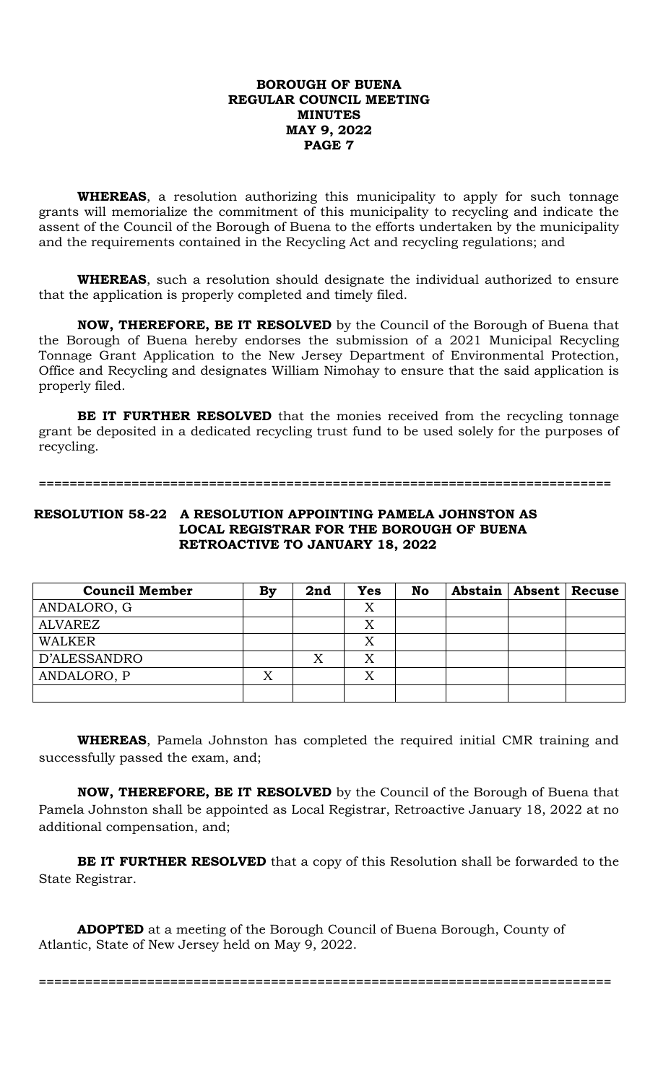**WHEREAS**, a resolution authorizing this municipality to apply for such tonnage grants will memorialize the commitment of this municipality to recycling and indicate the assent of the Council of the Borough of Buena to the efforts undertaken by the municipality and the requirements contained in the Recycling Act and recycling regulations; and

**WHEREAS**, such a resolution should designate the individual authorized to ensure that the application is properly completed and timely filed.

**NOW, THEREFORE, BE IT RESOLVED** by the Council of the Borough of Buena that the Borough of Buena hereby endorses the submission of a 2021 Municipal Recycling Tonnage Grant Application to the New Jersey Department of Environmental Protection, Office and Recycling and designates William Nimohay to ensure that the said application is properly filed.

**BE IT FURTHER RESOLVED** that the monies received from the recycling tonnage grant be deposited in a dedicated recycling trust fund to be used solely for the purposes of recycling.

#### **==========================================================================**

# **RESOLUTION 58-22 A RESOLUTION APPOINTING PAMELA JOHNSTON AS LOCAL REGISTRAR FOR THE BOROUGH OF BUENA RETROACTIVE TO JANUARY 18, 2022**

| <b>Council Member</b> | By | 2nd | <b>Yes</b> | No |  | Abstain   Absent   Recuse |
|-----------------------|----|-----|------------|----|--|---------------------------|
| ANDALORO, G           |    |     | Χ          |    |  |                           |
| <b>ALVAREZ</b>        |    |     | X          |    |  |                           |
| <b>WALKER</b>         |    |     | Χ          |    |  |                           |
| D'ALESSANDRO          |    | Х   | Χ          |    |  |                           |
| ANDALORO, P           |    |     | X          |    |  |                           |
|                       |    |     |            |    |  |                           |

**WHEREAS**, Pamela Johnston has completed the required initial CMR training and successfully passed the exam, and;

**NOW, THEREFORE, BE IT RESOLVED** by the Council of the Borough of Buena that Pamela Johnston shall be appointed as Local Registrar, Retroactive January 18, 2022 at no additional compensation, and;

**BE IT FURTHER RESOLVED** that a copy of this Resolution shall be forwarded to the State Registrar.

**==========================================================================**

**ADOPTED** at a meeting of the Borough Council of Buena Borough, County of Atlantic, State of New Jersey held on May 9, 2022.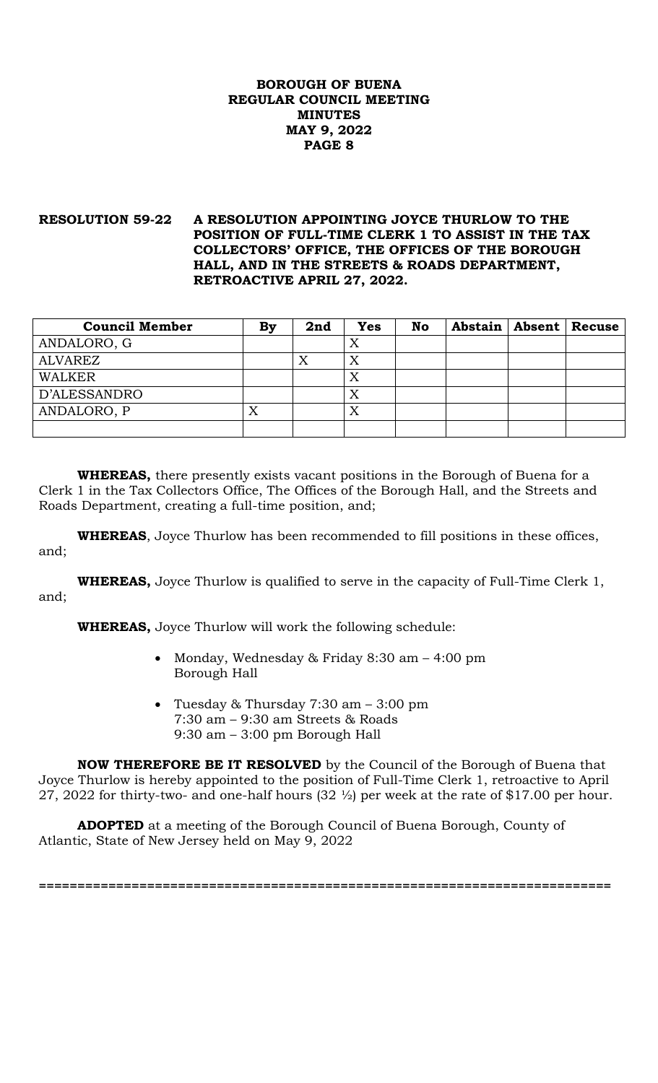# **RESOLUTION 59-22 A RESOLUTION APPOINTING JOYCE THURLOW TO THE POSITION OF FULL-TIME CLERK 1 TO ASSIST IN THE TAX COLLECTORS' OFFICE, THE OFFICES OF THE BOROUGH HALL, AND IN THE STREETS & ROADS DEPARTMENT, RETROACTIVE APRIL 27, 2022.**

| <b>Council Member</b> | By | 2nd | <b>Yes</b> | <b>No</b> |  | Abstain   Absent   Recuse |
|-----------------------|----|-----|------------|-----------|--|---------------------------|
| ANDALORO, G           |    |     | Χ          |           |  |                           |
| ALVAREZ               |    | Х   | Х          |           |  |                           |
| <b>WALKER</b>         |    |     | X          |           |  |                           |
| D'ALESSANDRO          |    |     | X          |           |  |                           |
| ANDALORO, P           |    |     | X          |           |  |                           |
|                       |    |     |            |           |  |                           |

**WHEREAS,** there presently exists vacant positions in the Borough of Buena for a Clerk 1 in the Tax Collectors Office, The Offices of the Borough Hall, and the Streets and Roads Department, creating a full-time position, and;

**WHEREAS**, Joyce Thurlow has been recommended to fill positions in these offices, and;

**WHEREAS,** Joyce Thurlow is qualified to serve in the capacity of Full-Time Clerk 1, and;

**WHEREAS,** Joyce Thurlow will work the following schedule:

- Monday, Wednesday & Friday 8:30 am 4:00 pm Borough Hall
- Tuesday & Thursday 7:30 am 3:00 pm 7:30 am – 9:30 am Streets & Roads 9:30 am – 3:00 pm Borough Hall

**NOW THEREFORE BE IT RESOLVED** by the Council of the Borough of Buena that Joyce Thurlow is hereby appointed to the position of Full-Time Clerk 1, retroactive to April 27, 2022 for thirty-two- and one-half hours (32 ½) per week at the rate of \$17.00 per hour.

**==========================================================================**

**ADOPTED** at a meeting of the Borough Council of Buena Borough, County of Atlantic, State of New Jersey held on May 9, 2022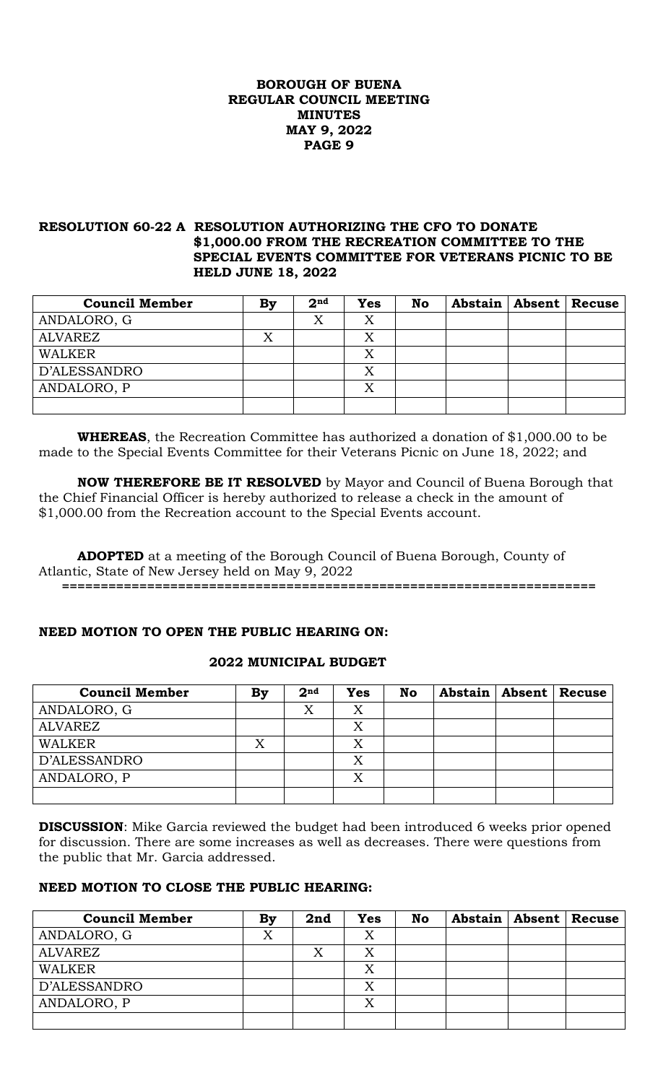# **RESOLUTION 60-22 A RESOLUTION AUTHORIZING THE CFO TO DONATE \$1,000.00 FROM THE RECREATION COMMITTEE TO THE SPECIAL EVENTS COMMITTEE FOR VETERANS PICNIC TO BE HELD JUNE 18, 2022**

| <b>Council Member</b> | By | 2 <sup>nd</sup> | <b>Yes</b> | No |  | Abstain   Absent   Recuse |
|-----------------------|----|-----------------|------------|----|--|---------------------------|
| ANDALORO, G           |    | Χ               | Χ          |    |  |                           |
| <b>ALVAREZ</b>        | Х  |                 |            |    |  |                           |
| WALKER                |    |                 | Χ          |    |  |                           |
| D'ALESSANDRO          |    |                 | X          |    |  |                           |
| ANDALORO, P           |    |                 | Χ          |    |  |                           |
|                       |    |                 |            |    |  |                           |

**WHEREAS**, the Recreation Committee has authorized a donation of \$1,000.00 to be made to the Special Events Committee for their Veterans Picnic on June 18, 2022; and

**NOW THEREFORE BE IT RESOLVED** by Mayor and Council of Buena Borough that the Chief Financial Officer is hereby authorized to release a check in the amount of \$1,000.00 from the Recreation account to the Special Events account.

**ADOPTED** at a meeting of the Borough Council of Buena Borough, County of Atlantic, State of New Jersey held on May 9, 2022 **=====================================================================**

# **NEED MOTION TO OPEN THE PUBLIC HEARING ON:**

## **2022 MUNICIPAL BUDGET**

| <b>Council Member</b> | By | 2 <sup>nd</sup> | <b>Yes</b> | <b>No</b> | Abstain   Absent   Recuse |  |
|-----------------------|----|-----------------|------------|-----------|---------------------------|--|
| ANDALORO, G           |    | X               |            |           |                           |  |
| <b>ALVAREZ</b>        |    |                 |            |           |                           |  |
| WALKER                |    |                 |            |           |                           |  |
| D'ALESSANDRO          |    |                 |            |           |                           |  |
| ANDALORO, P           |    |                 | X          |           |                           |  |
|                       |    |                 |            |           |                           |  |

**DISCUSSION**: Mike Garcia reviewed the budget had been introduced 6 weeks prior opened for discussion. There are some increases as well as decreases. There were questions from the public that Mr. Garcia addressed.

## **NEED MOTION TO CLOSE THE PUBLIC HEARING:**

| <b>Council Member</b> | Bv | 2nd | <b>Yes</b> | No |  | Abstain   Absent   Recuse |
|-----------------------|----|-----|------------|----|--|---------------------------|
| ANDALORO, G           |    |     | X          |    |  |                           |
| <b>ALVAREZ</b>        |    |     |            |    |  |                           |
| <b>WALKER</b>         |    |     | Χ          |    |  |                           |
| D'ALESSANDRO          |    |     |            |    |  |                           |
| ANDALORO, P           |    |     | Χ          |    |  |                           |
|                       |    |     |            |    |  |                           |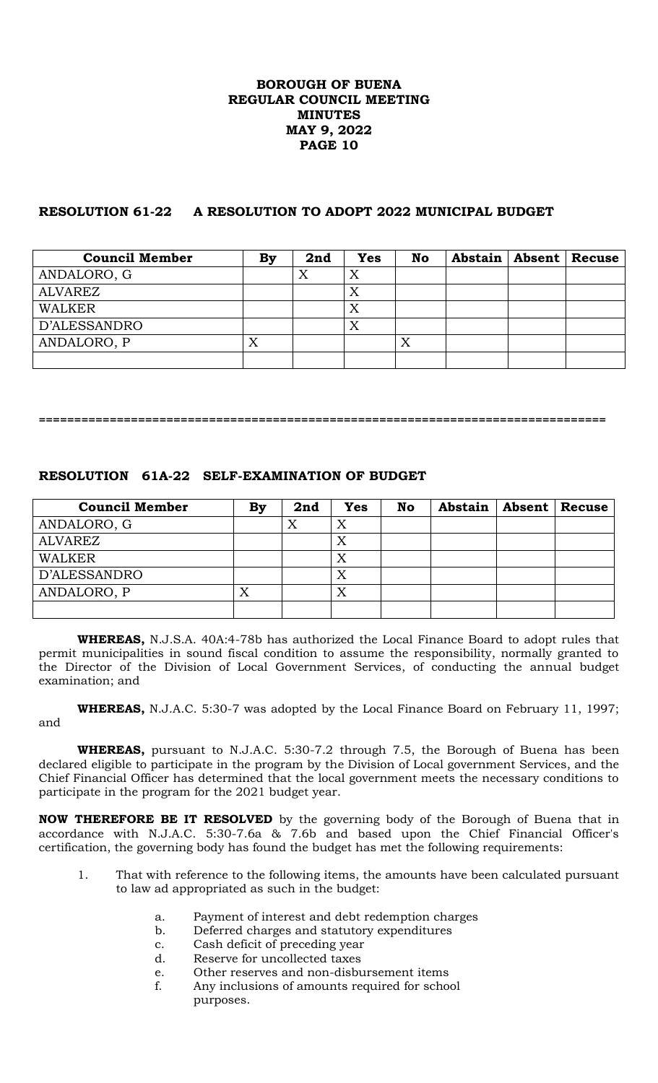# **RESOLUTION 61-22 A RESOLUTION TO ADOPT 2022 MUNICIPAL BUDGET**

| <b>Council Member</b> | By | 2nd | Yes | <b>No</b> | Abstain   Absent   Recuse |  |
|-----------------------|----|-----|-----|-----------|---------------------------|--|
| ANDALORO, G           |    | Χ   | Χ   |           |                           |  |
| ALVAREZ               |    |     | X   |           |                           |  |
| <b>WALKER</b>         |    |     | Χ   |           |                           |  |
| D'ALESSANDRO          |    |     | X   |           |                           |  |
| ANDALORO, P           | Х  |     |     | Χ         |                           |  |
|                       |    |     |     |           |                           |  |

**================================================================================**

# **RESOLUTION 61A-22 SELF-EXAMINATION OF BUDGET**

| <b>Council Member</b> | By | 2nd | Yes | <b>No</b> | <b>Abstain</b> | Absent | <b>Recuse</b> |
|-----------------------|----|-----|-----|-----------|----------------|--------|---------------|
| ANDALORO, G           |    | △   | X   |           |                |        |               |
| ALVAREZ               |    |     | X   |           |                |        |               |
| WALKER                |    |     | X   |           |                |        |               |
| D'ALESSANDRO          |    |     | X   |           |                |        |               |
| ANDALORO, P           | ∡  |     |     |           |                |        |               |
|                       |    |     |     |           |                |        |               |

**WHEREAS,** N.J.S.A. 40A:4-78b has authorized the Local Finance Board to adopt rules that permit municipalities in sound fiscal condition to assume the responsibility, normally granted to the Director of the Division of Local Government Services, of conducting the annual budget examination; and

**WHEREAS,** N.J.A.C. 5:30-7 was adopted by the Local Finance Board on February 11, 1997; and

**WHEREAS,** pursuant to N.J.A.C. 5:30-7.2 through 7.5, the Borough of Buena has been declared eligible to participate in the program by the Division of Local government Services, and the Chief Financial Officer has determined that the local government meets the necessary conditions to participate in the program for the 2021 budget year.

**NOW THEREFORE BE IT RESOLVED** by the governing body of the Borough of Buena that in accordance with N.J.A.C. 5:30-7.6a & 7.6b and based upon the Chief Financial Officer's certification, the governing body has found the budget has met the following requirements:

- 1. That with reference to the following items, the amounts have been calculated pursuant to law ad appropriated as such in the budget:
	- a. Payment of interest and debt redemption charges
	- b. Deferred charges and statutory expenditures
	- c. Cash deficit of preceding year
	- d. Reserve for uncollected taxes
	- e. Other reserves and non-disbursement items
	- f. Any inclusions of amounts required for school purposes.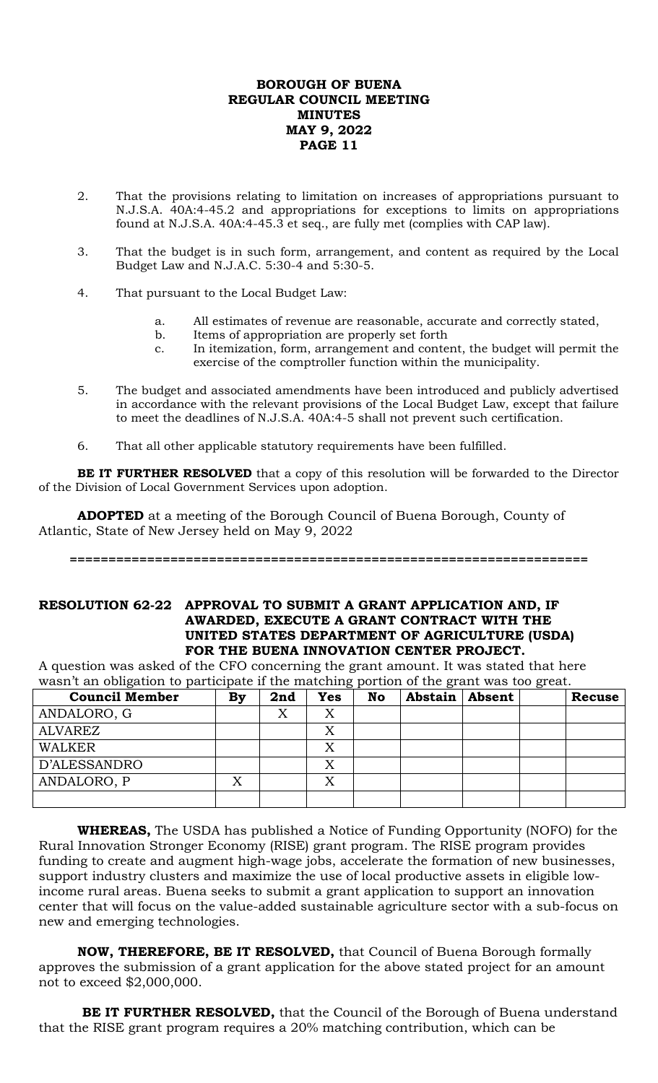- 2. That the provisions relating to limitation on increases of appropriations pursuant to N.J.S.A. 40A:4-45.2 and appropriations for exceptions to limits on appropriations found at N.J.S.A. 40A:4-45.3 et seq., are fully met (complies with CAP law).
- 3. That the budget is in such form, arrangement, and content as required by the Local Budget Law and N.J.A.C. 5:30-4 and 5:30-5.
- 4. That pursuant to the Local Budget Law:
	- a. All estimates of revenue are reasonable, accurate and correctly stated,
	- b. Items of appropriation are properly set forth
	- c. In itemization, form, arrangement and content, the budget will permit the exercise of the comptroller function within the municipality.
- 5. The budget and associated amendments have been introduced and publicly advertised in accordance with the relevant provisions of the Local Budget Law, except that failure to meet the deadlines of N.J.S.A. 40A:4-5 shall not prevent such certification.
- 6. That all other applicable statutory requirements have been fulfilled.

**BE IT FURTHER RESOLVED** that a copy of this resolution will be forwarded to the Director of the Division of Local Government Services upon adoption.

**ADOPTED** at a meeting of the Borough Council of Buena Borough, County of Atlantic, State of New Jersey held on May 9, 2022

#### **===================================================================**

## **RESOLUTION 62-22 APPROVAL TO SUBMIT A GRANT APPLICATION AND, IF AWARDED, EXECUTE A GRANT CONTRACT WITH THE UNITED STATES DEPARTMENT OF AGRICULTURE (USDA) FOR THE BUENA INNOVATION CENTER PROJECT.**

A question was asked of the CFO concerning the grant amount. It was stated that here wasn't an obligation to participate if the matching portion of the grant was too great.

| <b>Council Member</b> | By | 2nd | <b>Yes</b> | ັ້<br><b>No</b> | Abstain | Absent | <b>Recuse</b> |
|-----------------------|----|-----|------------|-----------------|---------|--------|---------------|
| ANDALORO, G           |    |     |            |                 |         |        |               |
| <b>ALVAREZ</b>        |    |     |            |                 |         |        |               |
| <b>WALKER</b>         |    |     |            |                 |         |        |               |
| D'ALESSANDRO          |    |     |            |                 |         |        |               |
| ANDALORO, P           |    |     |            |                 |         |        |               |
|                       |    |     |            |                 |         |        |               |

**WHEREAS,** The USDA has published a Notice of Funding Opportunity (NOFO) for the Rural Innovation Stronger Economy (RISE) grant program. The RISE program provides funding to create and augment high-wage jobs, accelerate the formation of new businesses, support industry clusters and maximize the use of local productive assets in eligible lowincome rural areas. Buena seeks to submit a grant application to support an innovation center that will focus on the value-added sustainable agriculture sector with a sub-focus on new and emerging technologies.

**NOW, THEREFORE, BE IT RESOLVED,** that Council of Buena Borough formally approves the submission of a grant application for the above stated project for an amount not to exceed \$2,000,000.

**BE IT FURTHER RESOLVED,** that the Council of the Borough of Buena understand that the RISE grant program requires a 20% matching contribution, which can be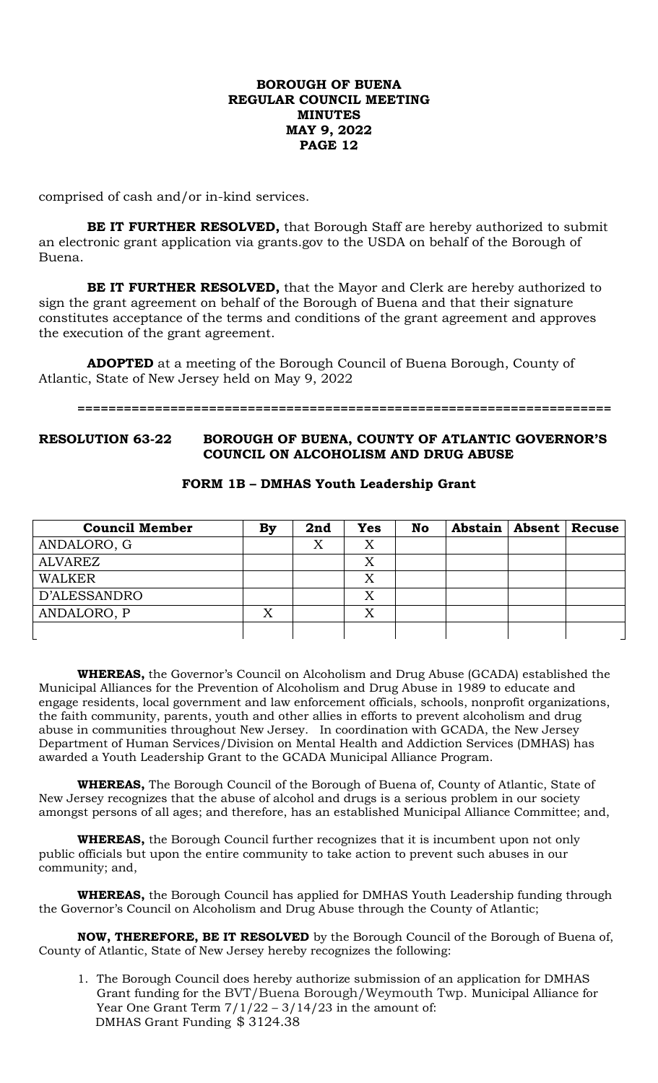comprised of cash and/or in-kind services.

**BE IT FURTHER RESOLVED,** that Borough Staff are hereby authorized to submit an electronic grant application via grants.gov to the USDA on behalf of the Borough of Buena.

**BE IT FURTHER RESOLVED,** that the Mayor and Clerk are hereby authorized to sign the grant agreement on behalf of the Borough of Buena and that their signature constitutes acceptance of the terms and conditions of the grant agreement and approves the execution of the grant agreement.

**ADOPTED** at a meeting of the Borough Council of Buena Borough, County of Atlantic, State of New Jersey held on May 9, 2022

#### **=====================================================================**

## **RESOLUTION 63-22 BOROUGH OF BUENA, COUNTY OF ATLANTIC GOVERNOR'S COUNCIL ON ALCOHOLISM AND DRUG ABUSE**

| <b>Council Member</b> | By | 2nd | <b>Yes</b> | <b>No</b> | Abstain   Absent | Recuse |
|-----------------------|----|-----|------------|-----------|------------------|--------|
| ANDALORO, G           |    | Χ   | Х          |           |                  |        |
| <b>ALVAREZ</b>        |    |     | Χ          |           |                  |        |
| <b>WALKER</b>         |    |     | Χ          |           |                  |        |
| D'ALESSANDRO          |    |     | Χ          |           |                  |        |
| ANDALORO, P           |    |     |            |           |                  |        |
|                       |    |     |            |           |                  |        |

#### **FORM 1B – DMHAS Youth Leadership Grant**

**WHEREAS,** the Governor's Council on Alcoholism and Drug Abuse (GCADA) established the Municipal Alliances for the Prevention of Alcoholism and Drug Abuse in 1989 to educate and engage residents, local government and law enforcement officials, schools, nonprofit organizations, the faith community, parents, youth and other allies in efforts to prevent alcoholism and drug abuse in communities throughout New Jersey. In coordination with GCADA, the New Jersey Department of Human Services/Division on Mental Health and Addiction Services (DMHAS) has awarded a Youth Leadership Grant to the GCADA Municipal Alliance Program.

**WHEREAS,** The Borough Council of the Borough of Buena of, County of Atlantic, State of New Jersey recognizes that the abuse of alcohol and drugs is a serious problem in our society amongst persons of all ages; and therefore, has an established Municipal Alliance Committee; and,

**WHEREAS,** the Borough Council further recognizes that it is incumbent upon not only public officials but upon the entire community to take action to prevent such abuses in our community; and,

**WHEREAS,** the Borough Council has applied for DMHAS Youth Leadership funding through the Governor's Council on Alcoholism and Drug Abuse through the County of Atlantic;

**NOW, THEREFORE, BE IT RESOLVED** by the Borough Council of the Borough of Buena of, County of Atlantic, State of New Jersey hereby recognizes the following:

1. The Borough Council does hereby authorize submission of an application for DMHAS Grant funding for the BVT/Buena Borough/Weymouth Twp. Municipal Alliance for Year One Grant Term  $7/1/22 - 3/14/23$  in the amount of: DMHAS Grant Funding \$ 3124.38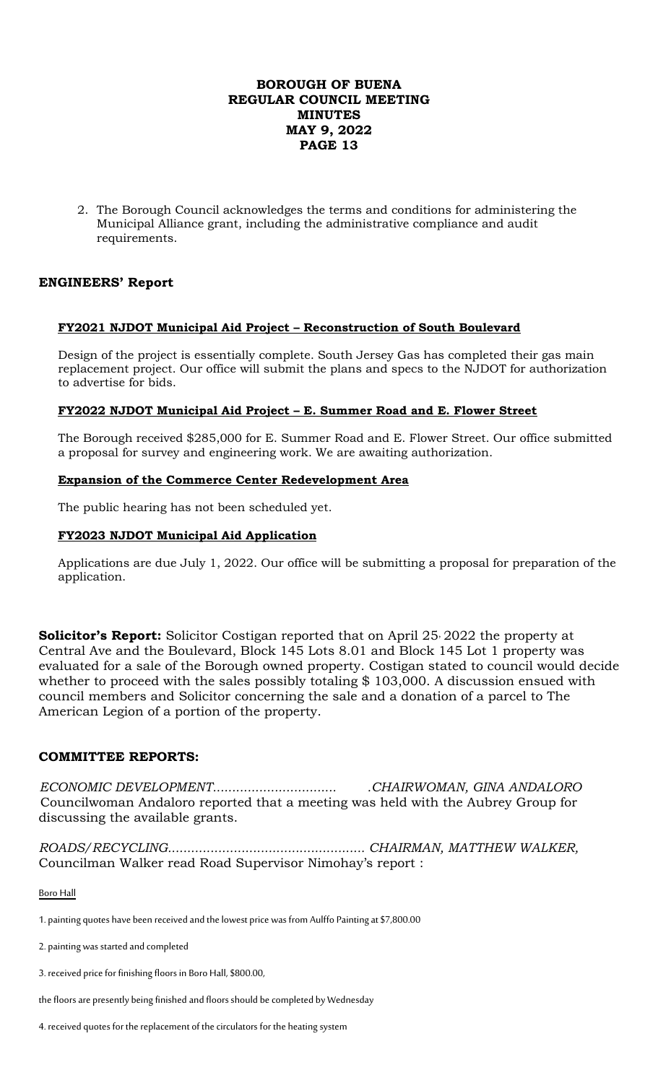2. The Borough Council acknowledges the terms and conditions for administering the Municipal Alliance grant, including the administrative compliance and audit requirements.

# **ENGINEERS' Report**

## **FY2021 NJDOT Municipal Aid Project – Reconstruction of South Boulevard**

Design of the project is essentially complete. South Jersey Gas has completed their gas main replacement project. Our office will submit the plans and specs to the NJDOT for authorization to advertise for bids.

#### **FY2022 NJDOT Municipal Aid Project – E. Summer Road and E. Flower Street**

The Borough received \$285,000 for E. Summer Road and E. Flower Street. Our office submitted a proposal for survey and engineering work. We are awaiting authorization.

#### **Expansion of the Commerce Center Redevelopment Area**

The public hearing has not been scheduled yet.

#### **FY2023 NJDOT Municipal Aid Application**

Applications are due July 1, 2022. Our office will be submitting a proposal for preparation of the application.

**Solicitor's Report:** Solicitor Costigan reported that on April 25, 2022 the property at Central Ave and the Boulevard, Block 145 Lots 8.01 and Block 145 Lot 1 property was evaluated for a sale of the Borough owned property. Costigan stated to council would decide whether to proceed with the sales possibly totaling \$103,000. A discussion ensued with council members and Solicitor concerning the sale and a donation of a parcel to The American Legion of a portion of the property.

#### **COMMITTEE REPORTS:**

*ECONOMIC DEVELOPMENT................................ .CHAIRWOMAN, GINA ANDALORO* Councilwoman Andaloro reported that a meeting was held with the Aubrey Group for discussing the available grants.

*ROADS/RECYCLING................................................... CHAIRMAN, MATTHEW WALKER,* Councilman Walker read Road Supervisor Nimohay's report :

Boro Hall

1. painting quotes have been received and the lowest price was from Aulffo Painting at \$7,800.00

2. painting was started and completed

3. received price for finishing floors in Boro Hall, \$800.00,

the floors are presently being finished and floors should be completed by Wednesday

4. received quotes for the replacement of the circulators for the heating system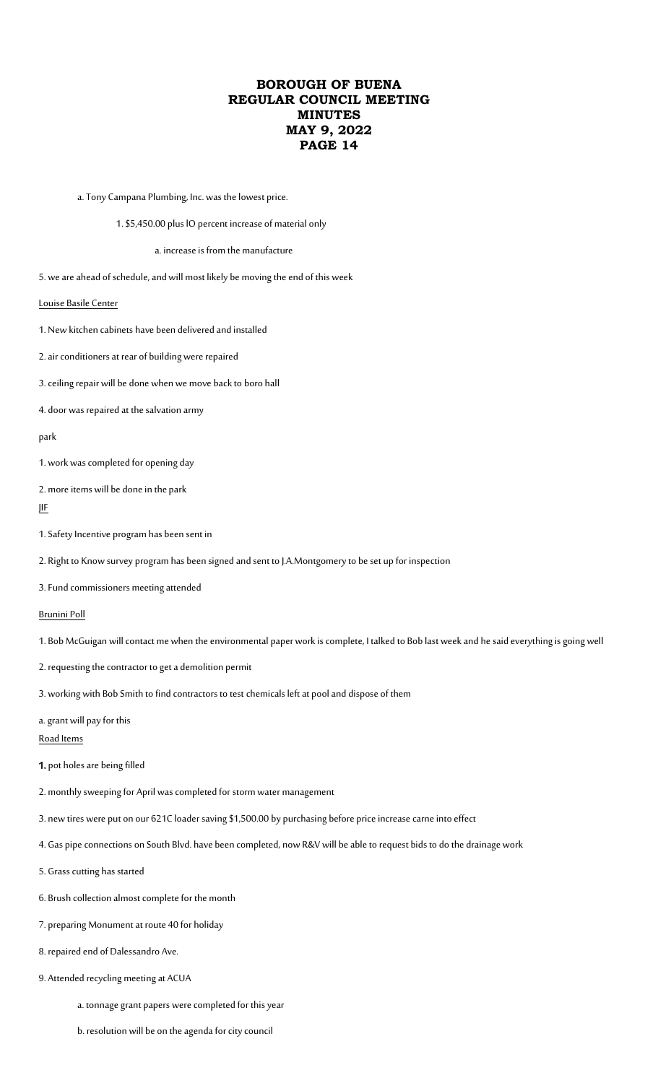- a.Tony Campana Plumbing, Inc. was the lowest price.
	- 1. \$5,450.00 plus lO percent increase of material only

#### a. increase is from the manufacture

- 5. we are ahead of schedule, and will most likely be moving the end of this week
- Louise Basile Center
- 1. New kitchen cabinets have been delivered and installed
- 2. air conditioners at rear of building were repaired
- 3. ceiling repair will be done when we move back to boro hall
- 4. door was repaired at the salvation army

#### park

- 1. work was completed for opening day
- 2. more items will be done in the park

#### JIF

- 1. Safety Incentive program has been sent in
- 2. Right to Know survey program has been signed and sent to J.A.Montgomery to be set up for inspection
- 3. Fund commissioners meeting attended

#### Brunini Poll

- 1. Bob McGuigan will contact me when the environmental paper work is complete, I talked to Bob last week and he said everything is going well
- 2. requesting the contractor to get a demolition permit
- 3. working with Bob Smith to find contractors to test chemicals left at pool and dispose of them
- a. grant will pay for this

Road Items

- 1. pot holes are being filled
- 2. monthly sweeping for April was completed for storm water management
- 3. new tires were put on our 621C loader saving \$1,500.00 by purchasing before price increase carne into effect
- 4. Gas pipe connections on South Blvd. have been completed, now R&V will be able to request bids to do the drainage work
- 5. Grass cutting has started
- 6. Brush collection almost complete for the month
- 7. preparing Monument at route 40 for holiday
- 8. repaired end of Dalessandro Ave.
- 9. Attended recycling meeting at ACUA
	- a. tonnage grant papers were completed for this year
	- b. resolution will be on the agenda for city council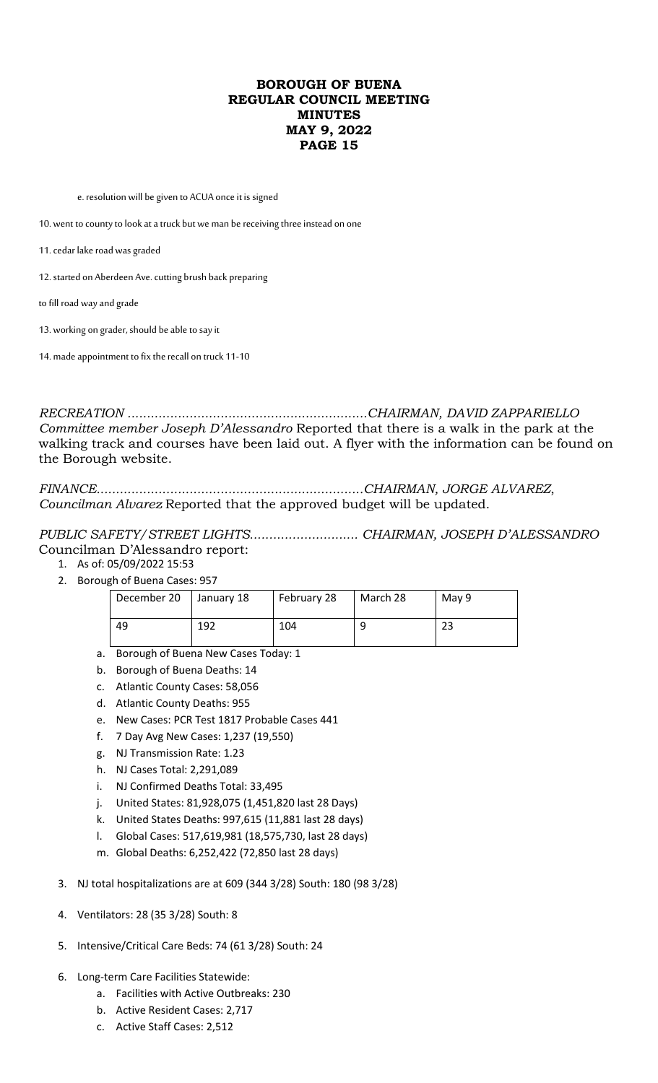e. resolution will be given to ACUA once it is signed

10. went to county to look at a truck but we man be receiving three instead on one

11. cedar lake road was graded

12. started on Aberdeen Ave. cutting brush back preparing

to fill road way and grade

13. working on grader, should be able to say it

14. made appointment to fix the recall on truck 11-10

*RECREATION ..............................................................CHAIRMAN, DAVID ZAPPARIELLO Committee member Joseph D'Alessandro* Reported that there is a walk in the park at the walking track and courses have been laid out. A flyer with the information can be found on the Borough website.

*FINANCE.....................................................................CHAIRMAN, JORGE ALVAREZ*, *Councilman Alvarez* Reported that the approved budget will be updated.

*PUBLIC SAFETY/STREET LIGHTS............................ CHAIRMAN, JOSEPH D'ALESSANDRO* Councilman D'Alessandro report:

- 1. As of: 05/09/2022 15:53
- 2. Borough of Buena Cases: 957

| December 20 | January 18 | February 28 | March 28 | May 9 |
|-------------|------------|-------------|----------|-------|
| 49          | 192        | 104         | 9        | 23    |

- a. Borough of Buena New Cases Today: 1
- b. Borough of Buena Deaths: 14
- c. Atlantic County Cases: 58,056
- d. Atlantic County Deaths: 955
- e. New Cases: PCR Test 1817 Probable Cases 441
- f. 7 Day Avg New Cases: 1,237 (19,550)
- g. NJ Transmission Rate: 1.23
- h. NJ Cases Total: 2,291,089
- i. NJ Confirmed Deaths Total: 33,495
- j. United States: 81,928,075 (1,451,820 last 28 Days)
- k. United States Deaths: 997,615 (11,881 last 28 days)
- l. Global Cases: 517,619,981 (18,575,730, last 28 days)
- m. Global Deaths: 6,252,422 (72,850 last 28 days)
- 3. NJ total hospitalizations are at 609 (344 3/28) South: 180 (98 3/28)
- 4. Ventilators: 28 (35 3/28) South: 8
- 5. Intensive/Critical Care Beds: 74 (61 3/28) South: 24
- 6. Long-term Care Facilities Statewide:
	- a. Facilities with Active Outbreaks: 230
	- b. Active Resident Cases: 2,717
	- c. Active Staff Cases: 2,512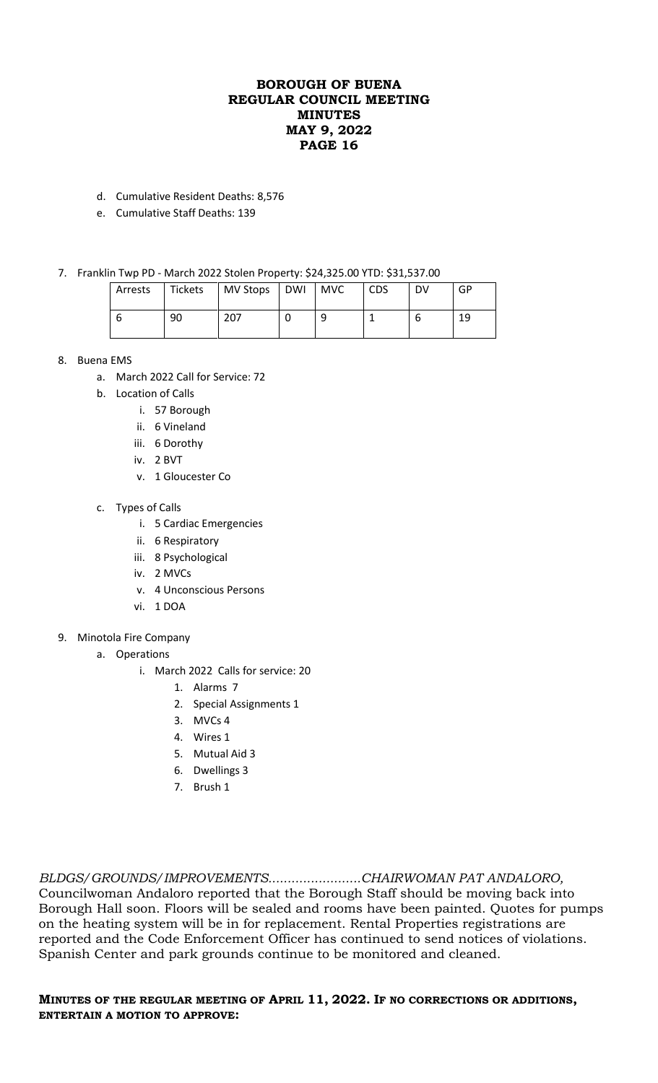- d. Cumulative Resident Deaths: 8,576
- e. Cumulative Staff Deaths: 139
- 7. Franklin Twp PD March 2022 Stolen Property: \$24,325.00 YTD: \$31,537.00

| Arrests | Tickets | MV Stops DWI | <b>MVC</b> | <b>CDS</b> | DV | GP |
|---------|---------|--------------|------------|------------|----|----|
|         | 90      | 207          |            |            |    | 19 |

- 8. Buena EMS
	- a. March 2022 Call for Service: 72
	- b. Location of Calls
		- i. 57 Borough
		- ii. 6 Vineland
		- iii. 6 Dorothy
		- iv. 2 BVT
		- v. 1 Gloucester Co
	- c. Types of Calls
		- i. 5 Cardiac Emergencies
		- ii. 6 Respiratory
		- iii. 8 Psychological
		- iv. 2 MVCs
		- v. 4 Unconscious Persons
		- vi. 1 DOA
- 9. Minotola Fire Company
	- a. Operations
		- i. March 2022 Calls for service: 20
			- 1. Alarms 7
			- 2. Special Assignments 1
			- 3. MVCs 4
			- 4. Wires 1
			- 5. Mutual Aid 3
			- 6. Dwellings 3
			- 7. Brush 1

*BLDGS/GROUNDS/IMPROVEMENTS........................CHAIRWOMAN PAT ANDALORO,* Councilwoman Andaloro reported that the Borough Staff should be moving back into Borough Hall soon. Floors will be sealed and rooms have been painted. Quotes for pumps on the heating system will be in for replacement. Rental Properties registrations are reported and the Code Enforcement Officer has continued to send notices of violations. Spanish Center and park grounds continue to be monitored and cleaned.

## **MINUTES OF THE REGULAR MEETING OF APRIL 11, 2022. IF NO CORRECTIONS OR ADDITIONS, ENTERTAIN A MOTION TO APPROVE:**